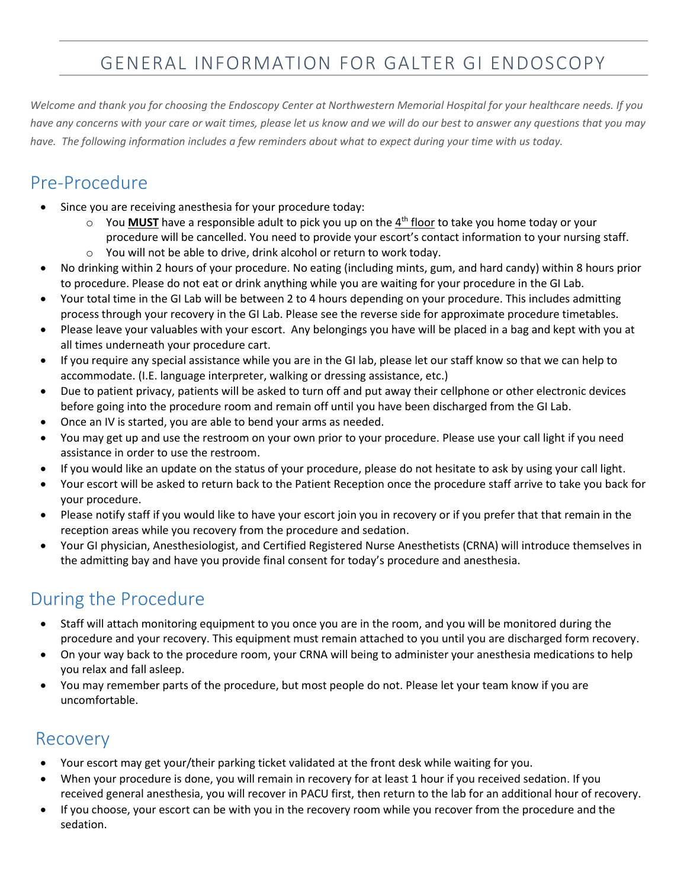# GENERAL INFORMATION FOR GALTER GI ENDOSCOPY

*Welcome and thank you for choosing the Endoscopy Center at Northwestern Memorial Hospital for your healthcare needs. If you have any concerns with your care or wait times, please let us know and we will do our best to answer any questions that you may have. The following information includes a few reminders about what to expect during your time with us today.*

## Pre-Procedure

- Since you are receiving anesthesia for your procedure today:
	- o You **MUST** have a responsible adult to pick you up on the 4<sup>th</sup> floor to take you home today or your procedure will be cancelled. You need to provide your escort's contact information to your nursing staff.
	- o You will not be able to drive, drink alcohol or return to work today.
- No drinking within 2 hours of your procedure. No eating (including mints, gum, and hard candy) within 8 hours prior to procedure. Please do not eat or drink anything while you are waiting for your procedure in the GI Lab.
- Your total time in the GI Lab will be between 2 to 4 hours depending on your procedure. This includes admitting process through your recovery in the GI Lab. Please see the reverse side for approximate procedure timetables.
- Please leave your valuables with your escort. Any belongings you have will be placed in a bag and kept with you at all times underneath your procedure cart.
- If you require any special assistance while you are in the GI lab, please let our staff know so that we can help to accommodate. (I.E. language interpreter, walking or dressing assistance, etc.)
- Due to patient privacy, patients will be asked to turn off and put away their cellphone or other electronic devices before going into the procedure room and remain off until you have been discharged from the GI Lab.
- Once an IV is started, you are able to bend your arms as needed.
- You may get up and use the restroom on your own prior to your procedure. Please use your call light if you need assistance in order to use the restroom.
- If you would like an update on the status of your procedure, please do not hesitate to ask by using your call light.
- Your escort will be asked to return back to the Patient Reception once the procedure staff arrive to take you back for your procedure.
- Please notify staff if you would like to have your escort join you in recovery or if you prefer that that remain in the reception areas while you recovery from the procedure and sedation.
- Your GI physician, Anesthesiologist, and Certified Registered Nurse Anesthetists (CRNA) will introduce themselves in the admitting bay and have you provide final consent for today's procedure and anesthesia.

## During the Procedure

- Staff will attach monitoring equipment to you once you are in the room, and you will be monitored during the procedure and your recovery. This equipment must remain attached to you until you are discharged form recovery.
- On your way back to the procedure room, your CRNA will being to administer your anesthesia medications to help you relax and fall asleep.
- You may remember parts of the procedure, but most people do not. Please let your team know if you are uncomfortable.

#### Recovery

- Your escort may get your/their parking ticket validated at the front desk while waiting for you.
- When your procedure is done, you will remain in recovery for at least 1 hour if you received sedation. If you received general anesthesia, you will recover in PACU first, then return to the lab for an additional hour of recovery.
- If you choose, your escort can be with you in the recovery room while you recover from the procedure and the sedation.